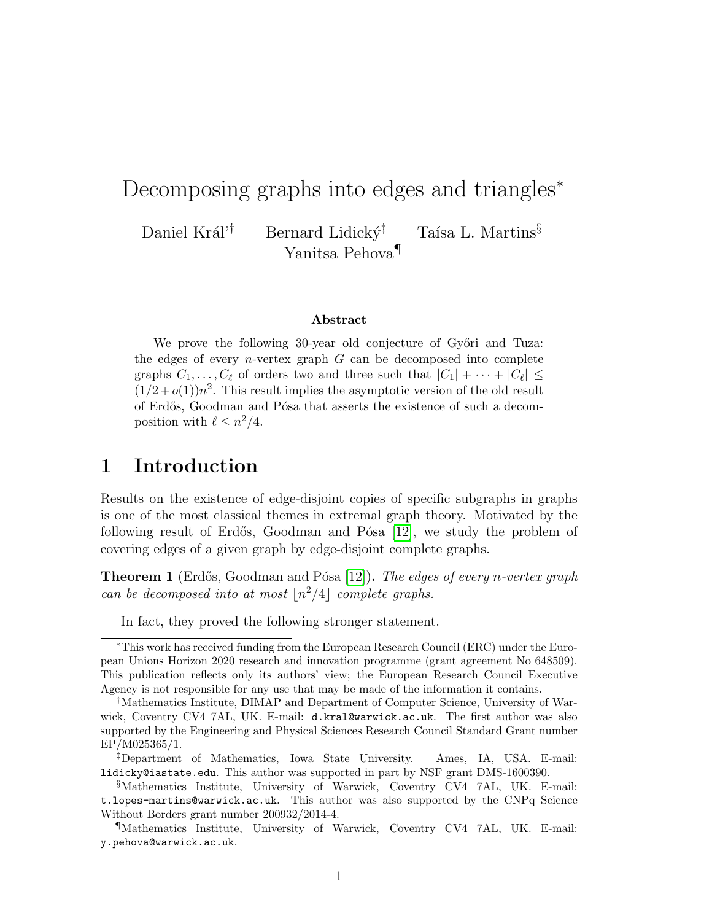# Decomposing graphs into edges and triangles<sup>\*</sup>

Daniel Král'<sup>†</sup> Bernard Lidický<sup>‡</sup> Taísa L. Martins<sup>§</sup> Yanitsa Pehova¶

#### Abstract

We prove the following 30-year old conjecture of Győri and Tuza: the edges of every *n*-vertex graph  $G$  can be decomposed into complete graphs  $C_1, \ldots, C_\ell$  of orders two and three such that  $|C_1| + \cdots + |C_\ell| \leq$  $(1/2+o(1))n^2$ . This result implies the asymptotic version of the old result of Erdős, Goodman and Pósa that asserts the existence of such a decomposition with  $\ell \leq n^2/4$ .

#### 1 Introduction

Results on the existence of edge-disjoint copies of specific subgraphs in graphs is one of the most classical themes in extremal graph theory. Motivated by the following result of Erdős, Goodman and Pósa  $[12]$ , we study the problem of covering edges of a given graph by edge-disjoint complete graphs.

<span id="page-0-0"></span>**Theorem 1** (Erdős, Goodman and Pósa [\[12\]](#page-13-0)). The edges of every n-vertex graph can be decomposed into at most  $\lfloor n^2/4\rfloor$  complete graphs.

In fact, they proved the following stronger statement.

<sup>∗</sup>This work has received funding from the European Research Council (ERC) under the European Unions Horizon 2020 research and innovation programme (grant agreement No 648509). This publication reflects only its authors' view; the European Research Council Executive Agency is not responsible for any use that may be made of the information it contains.

<sup>†</sup>Mathematics Institute, DIMAP and Department of Computer Science, University of Warwick, Coventry CV4 7AL, UK. E-mail: d.kral@warwick.ac.uk. The first author was also supported by the Engineering and Physical Sciences Research Council Standard Grant number EP/M025365/1.

<sup>‡</sup>Department of Mathematics, Iowa State University. Ames, IA, USA. E-mail: lidicky@iastate.edu. This author was supported in part by NSF grant DMS-1600390.

<sup>§</sup>Mathematics Institute, University of Warwick, Coventry CV4 7AL, UK. E-mail: t.lopes-martins@warwick.ac.uk. This author was also supported by the CNPq Science Without Borders grant number 200932/2014-4.

<sup>¶</sup>Mathematics Institute, University of Warwick, Coventry CV4 7AL, UK. E-mail: y.pehova@warwick.ac.uk.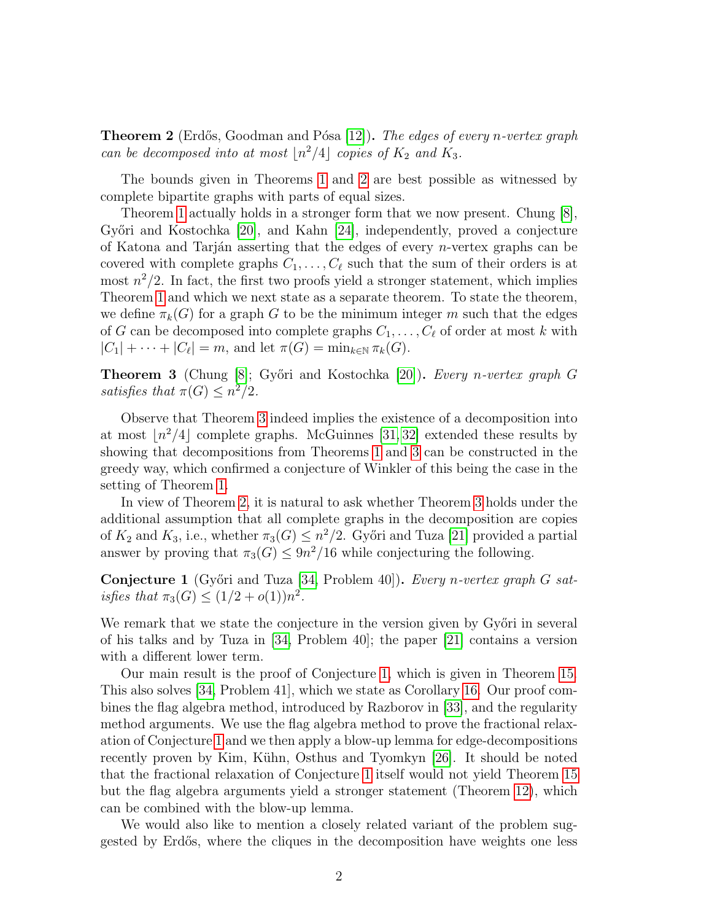<span id="page-1-0"></span>**Theorem 2** (Erdős, Goodman and Pósa [\[12\]](#page-13-0)). The edges of every n-vertex graph can be decomposed into at most  $\lfloor n^2/4 \rfloor$  copies of  $K_2$  and  $K_3$ .

The bounds given in Theorems [1](#page-0-0) and [2](#page-1-0) are best possible as witnessed by complete bipartite graphs with parts of equal sizes.

Theorem [1](#page-0-0) actually holds in a stronger form that we now present. Chung [\[8\]](#page-13-1), Győri and Kostochka  $[20]$ , and Kahn  $[24]$ , independently, proved a conjecture of Katona and Tarján asserting that the edges of every *n*-vertex graphs can be covered with complete graphs  $C_1, \ldots, C_\ell$  such that the sum of their orders is at most  $n^2/2$ . In fact, the first two proofs yield a stronger statement, which implies Theorem [1](#page-0-0) and which we next state as a separate theorem. To state the theorem, we define  $\pi_k(G)$  for a graph G to be the minimum integer m such that the edges of G can be decomposed into complete graphs  $C_1, \ldots, C_\ell$  of order at most k with  $|C_1| + \cdots + |C_\ell| = m$ , and let  $\pi(G) = \min_{k \in \mathbb{N}} \pi_k(G)$ .

<span id="page-1-1"></span>Theorem 3 (Chung [\[8\]](#page-13-1); Győri and Kostochka [\[20\]](#page-14-0)). Every n-vertex graph G satisfies that  $\pi(G) \leq n^2/2$ .

Observe that Theorem [3](#page-1-1) indeed implies the existence of a decomposition into at most  $n^2/4$  complete graphs. McGuinnes [\[31,](#page-14-2) [32\]](#page-14-3) extended these results by showing that decompositions from Theorems [1](#page-0-0) and [3](#page-1-1) can be constructed in the greedy way, which confirmed a conjecture of Winkler of this being the case in the setting of Theorem [1.](#page-0-0)

In view of Theorem [2,](#page-1-0) it is natural to ask whether Theorem [3](#page-1-1) holds under the additional assumption that all complete graphs in the decomposition are copies of  $K_2$  and  $K_3$ , i.e., whether  $\pi_3(G) \leq n^2/2$ . Győri and Tuza [\[21\]](#page-14-4) provided a partial answer by proving that  $\pi_3(G) \leq 9n^2/16$  while conjecturing the following.

<span id="page-1-2"></span>**Conjecture 1** (Győri and Tuza [\[34,](#page-15-0) Problem 40]). Every n-vertex graph G satisfies that  $\pi_3(G) \le (1/2 + o(1))n^2$ .

We remark that we state the conjecture in the version given by Győri in several of his talks and by Tuza in [\[34,](#page-15-0) Problem 40]; the paper [\[21\]](#page-14-4) contains a version with a different lower term.

Our main result is the proof of Conjecture [1,](#page-1-2) which is given in Theorem [15.](#page-10-0) This also solves [\[34,](#page-15-0) Problem 41], which we state as Corollary [16.](#page-12-0) Our proof combines the flag algebra method, introduced by Razborov in [\[33\]](#page-14-5), and the regularity method arguments. We use the flag algebra method to prove the fractional relaxation of Conjecture [1](#page-1-2) and we then apply a blow-up lemma for edge-decompositions recently proven by Kim, Kühn, Osthus and Tyomkyn [\[26\]](#page-14-6). It should be noted that the fractional relaxation of Conjecture [1](#page-1-2) itself would not yield Theorem [15](#page-10-0) but the flag algebra arguments yield a stronger statement (Theorem [12\)](#page-7-0), which can be combined with the blow-up lemma.

We would also like to mention a closely related variant of the problem suggested by Erd˝os, where the cliques in the decomposition have weights one less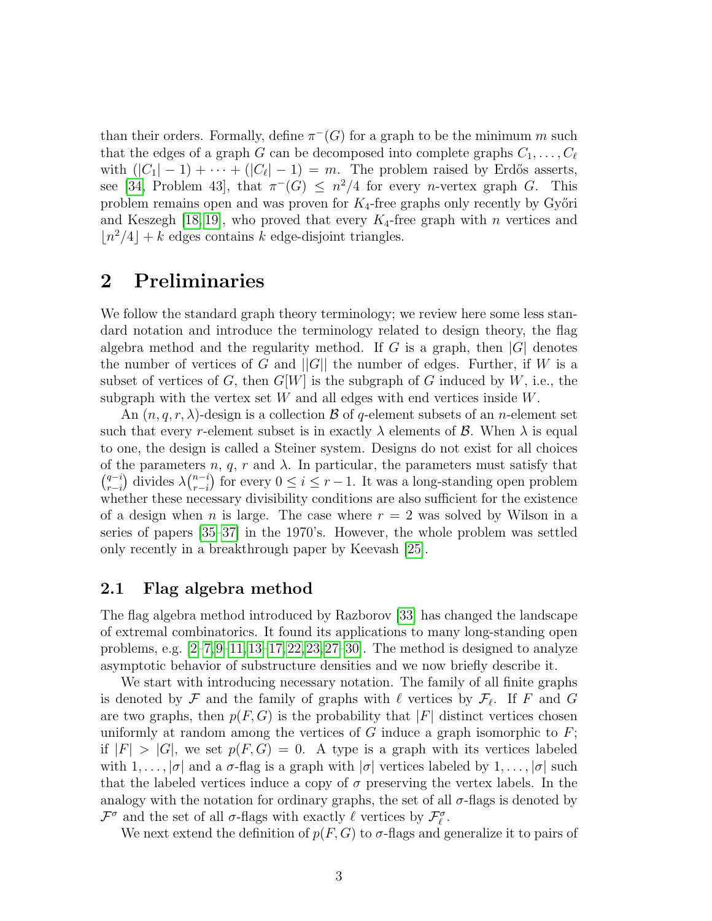than their orders. Formally, define  $\pi^{-}(G)$  for a graph to be the minimum m such that the edges of a graph G can be decomposed into complete graphs  $C_1, \ldots, C_\ell$ with  $(|C_1| - 1) + \cdots + (|C_{\ell}|-1) = m$ . The problem raised by Erdős asserts, see [\[34,](#page-15-0) Problem 43], that  $\pi^{-}(G) \leq n^2/4$  for every *n*-vertex graph G. This problem remains open and was proven for  $K_4$ -free graphs only recently by Győri and Keszegh [\[18,](#page-14-7) [19\]](#page-14-8), who proved that every  $K_4$ -free graph with n vertices and  $\lfloor n^2/4 \rfloor + k$  edges contains k edge-disjoint triangles.

#### 2 Preliminaries

We follow the standard graph theory terminology; we review here some less standard notation and introduce the terminology related to design theory, the flag algebra method and the regularity method. If G is a graph, then  $|G|$  denotes the number of vertices of G and  $||G||$  the number of edges. Further, if W is a subset of vertices of G, then  $G[W]$  is the subgraph of G induced by W, i.e., the subgraph with the vertex set  $W$  and all edges with end vertices inside  $W$ .

An  $(n, q, r, \lambda)$ -design is a collection  $\beta$  of q-element subsets of an n-element set such that every r-element subset is in exactly  $\lambda$  elements of  $\beta$ . When  $\lambda$  is equal to one, the design is called a Steiner system. Designs do not exist for all choices of the parameters n, q, r and  $\lambda$ . In particular, the parameters must satisfy that  $\binom{q-i}{r}$  $_{r-i}^{q-i}$ ) divides  $\lambda {_{r-i}^{n-i}}$  $r_{r-i}^{n-i}$  for every  $0 \le i \le r-1$ . It was a long-standing open problem whether these necessary divisibility conditions are also sufficient for the existence of a design when n is large. The case where  $r = 2$  was solved by Wilson in a series of papers [\[35](#page-15-1)[–37\]](#page-15-2) in the 1970's. However, the whole problem was settled only recently in a breakthrough paper by Keevash [\[25\]](#page-14-9).

#### 2.1 Flag algebra method

The flag algebra method introduced by Razborov [\[33\]](#page-14-5) has changed the landscape of extremal combinatorics. It found its applications to many long-standing open problems, e.g.  $[2-7,9-11,13-17,22,23,27-30]$  $[2-7,9-11,13-17,22,23,27-30]$  $[2-7,9-11,13-17,22,23,27-30]$  $[2-7,9-11,13-17,22,23,27-30]$  $[2-7,9-11,13-17,22,23,27-30]$  $[2-7,9-11,13-17,22,23,27-30]$  $[2-7,9-11,13-17,22,23,27-30]$  $[2-7,9-11,13-17,22,23,27-30]$  $[2-7,9-11,13-17,22,23,27-30]$  $[2-7,9-11,13-17,22,23,27-30]$ . The method is designed to analyze asymptotic behavior of substructure densities and we now briefly describe it.

We start with introducing necessary notation. The family of all finite graphs is denoted by  $\mathcal F$  and the family of graphs with  $\ell$  vertices by  $\mathcal F_\ell$ . If F and G are two graphs, then  $p(F, G)$  is the probability that |F| distinct vertices chosen uniformly at random among the vertices of G induce a graph isomorphic to  $F$ ; if  $|F| > |G|$ , we set  $p(F, G) = 0$ . A type is a graph with its vertices labeled with  $1, \ldots, |\sigma|$  and a  $\sigma$ -flag is a graph with  $|\sigma|$  vertices labeled by  $1, \ldots, |\sigma|$  such that the labeled vertices induce a copy of  $\sigma$  preserving the vertex labels. In the analogy with the notation for ordinary graphs, the set of all  $\sigma$ -flags is denoted by  $\mathcal{F}^{\sigma}$  and the set of all  $\sigma$ -flags with exactly  $\ell$  vertices by  $\mathcal{F}_{\ell}^{\sigma}$ .

We next extend the definition of  $p(F, G)$  to  $\sigma$ -flags and generalize it to pairs of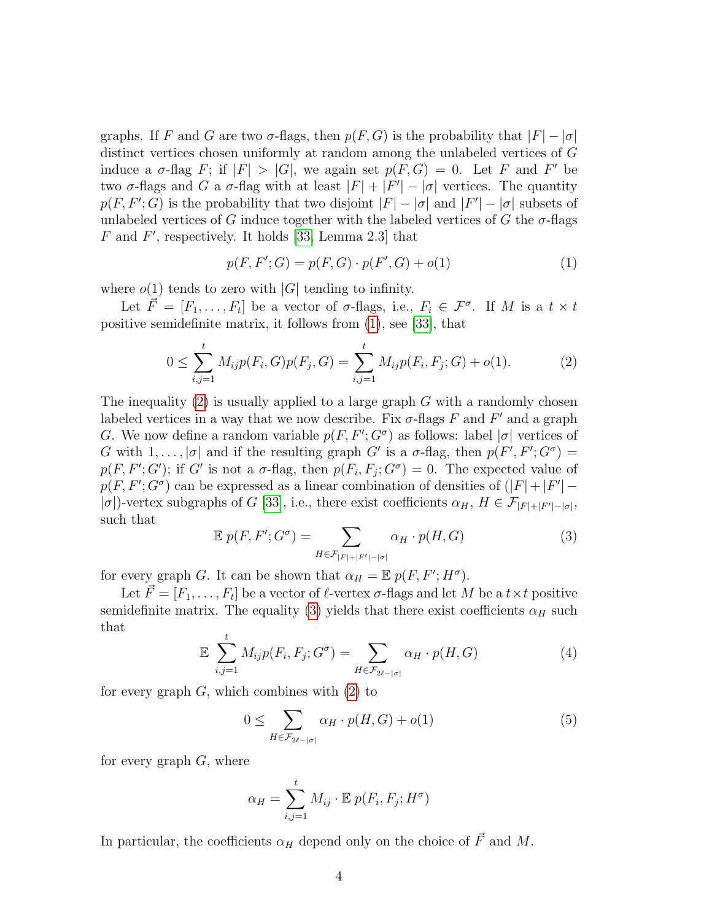graphs. If F and G are two  $\sigma$ -flags, then  $p(F, G)$  is the probability that  $|F| - |\sigma|$ distinct vertices chosen uniformly at random among the unlabeled vertices of G induce a  $\sigma$ -flag F; if  $|F| > |G|$ , we again set  $p(F, G) = 0$ . Let F and F' be two  $\sigma$ -flags and G a  $\sigma$ -flag with at least  $|F| + |F'| - |\sigma|$  vertices. The quantity  $p(F, F'; G)$  is the probability that two disjoint  $|F| - |\sigma|$  and  $|F'| - |\sigma|$  subsets of unlabeled vertices of G induce together with the labeled vertices of G the  $\sigma$ -flags  $F$  and  $F'$ , respectively. It holds [\[33,](#page-14-5) Lemma 2.3] that

<span id="page-3-0"></span>
$$
p(F, F'; G) = p(F, G) \cdot p(F', G) + o(1)
$$
\n(1)

where  $o(1)$  tends to zero with |G| tending to infinity.

Let  $\vec{F} = [F_1, \ldots, F_t]$  be a vector of  $\sigma$ -flags, i.e.,  $F_i \in \mathcal{F}^{\sigma}$ . If M is a  $t \times t$ positive semidefinite matrix, it follows from [\(1\)](#page-3-0), see [\[33\]](#page-14-5), that

<span id="page-3-1"></span>
$$
0 \le \sum_{i,j=1}^{t} M_{ij} p(F_i, G) p(F_j, G) = \sum_{i,j=1}^{t} M_{ij} p(F_i, F_j; G) + o(1).
$$
 (2)

The inequality  $(2)$  is usually applied to a large graph G with a randomly chosen labeled vertices in a way that we now describe. Fix  $\sigma$ -flags F and F' and a graph G. We now define a random variable  $p(F, F'; G^{\sigma})$  as follows: label  $|\sigma|$  vertices of G with  $1, \ldots, |\sigma|$  and if the resulting graph G' is a  $\sigma$ -flag, then  $p(F', F'; G^{\sigma}) =$  $p(F, F'; G')$ ; if G' is not a  $\sigma$ -flag, then  $p(F_i, F_j; G') = 0$ . The expected value of  $p(F, F'; G^{\sigma})$  can be expressed as a linear combination of densities of  $(|F| + |F'| -$ | $\sigma$ |)-vertex subgraphs of G [\[33\]](#page-14-5), i.e., there exist coefficients  $\alpha_H$ ,  $H \in \mathcal{F}_{|F|+|F'|-|\sigma|}$ , such that

<span id="page-3-2"></span>
$$
\mathbb{E}\;p(F,F';G^{\sigma}) = \sum_{H \in \mathcal{F}_{|F|+|F'|-|\sigma|}} \alpha_H \cdot p(H,G) \tag{3}
$$

for every graph G. It can be shown that  $\alpha_H = \mathbb{E} p(F, F'; H^{\sigma})$ .

Let  $\vec{F} = [F_1, \ldots, F_t]$  be a vector of  $\ell$ -vertex  $\sigma$ -flags and let M be a  $t \times t$  positive semidefinite matrix. The equality [\(3\)](#page-3-2) yields that there exist coefficients  $\alpha_H$  such that

$$
\mathbb{E} \sum_{i,j=1}^{t} M_{ij} p(F_i, F_j; G^{\sigma}) = \sum_{H \in \mathcal{F}_{2\ell - |\sigma|}} \alpha_H \cdot p(H, G) \tag{4}
$$

for every graph  $G$ , which combines with  $(2)$  to

<span id="page-3-3"></span>
$$
0 \leq \sum_{H \in \mathcal{F}_{2\ell - |\sigma|}} \alpha_H \cdot p(H, G) + o(1) \tag{5}
$$

for every graph  $G$ , where

$$
\alpha_H = \sum_{i,j=1}^t M_{ij} \cdot \mathbb{E} \ p(F_i, F_j; H^{\sigma})
$$

In particular, the coefficients  $\alpha_H$  depend only on the choice of  $\vec{F}$  and M.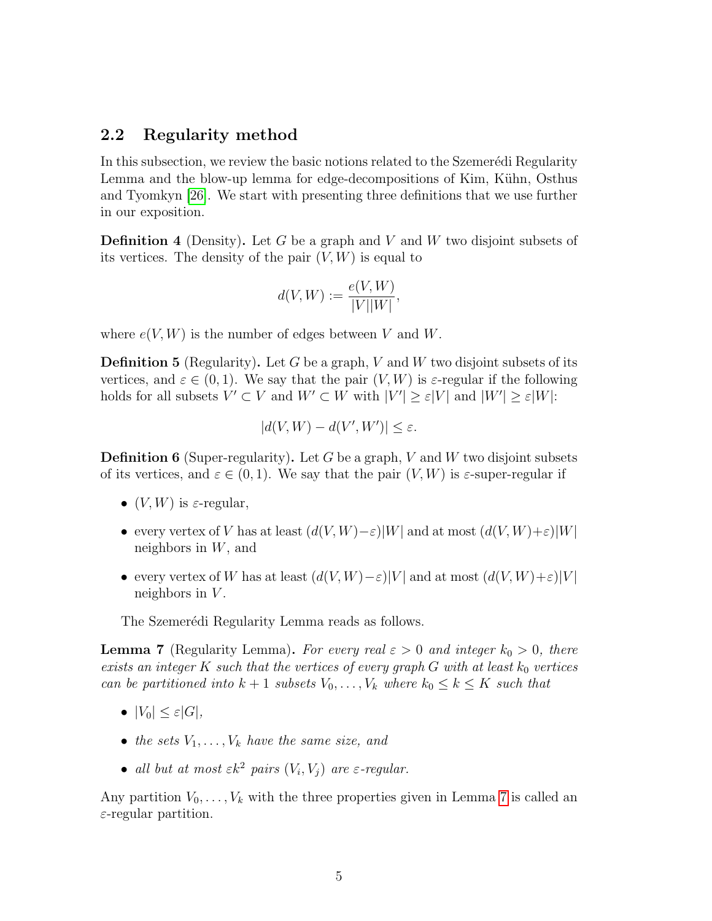#### 2.2 Regularity method

In this subsection, we review the basic notions related to the Szemerédi Regularity Lemma and the blow-up lemma for edge-decompositions of Kim, Kühn, Osthus and Tyomkyn [\[26\]](#page-14-6). We start with presenting three definitions that we use further in our exposition.

**Definition 4** (Density). Let G be a graph and V and W two disjoint subsets of its vertices. The density of the pair  $(V, W)$  is equal to

$$
d(V, W) := \frac{e(V, W)}{|V||W|},
$$

where  $e(V, W)$  is the number of edges between V and W.

**Definition 5** (Regularity). Let G be a graph, V and W two disjoint subsets of its vertices, and  $\varepsilon \in (0,1)$ . We say that the pair  $(V, W)$  is  $\varepsilon$ -regular if the following holds for all subsets  $V' \subset V$  and  $W' \subset W$  with  $|V'| \geq \varepsilon |V|$  and  $|W'| \geq \varepsilon |W|$ :

$$
|d(V, W) - d(V', W')| \le \varepsilon.
$$

**Definition 6** (Super-regularity). Let G be a graph, V and W two disjoint subsets of its vertices, and  $\varepsilon \in (0,1)$ . We say that the pair  $(V, W)$  is  $\varepsilon$ -super-regular if

- $(V, W)$  is  $\varepsilon$ -regular,
- every vertex of V has at least  $(d(V, W) \varepsilon)|W|$  and at most  $(d(V, W) + \varepsilon)|W|$ neighbors in  $W$ , and
- every vertex of W has at least  $(d(V, W) \varepsilon)|V|$  and at most  $(d(V, W) + \varepsilon)|V|$ neighbors in  $V$ .

The Szemerédi Regularity Lemma reads as follows.

<span id="page-4-0"></span>**Lemma 7** (Regularity Lemma). For every real  $\varepsilon > 0$  and integer  $k_0 > 0$ , there exists an integer K such that the vertices of every graph  $G$  with at least  $k_0$  vertices can be partitioned into  $k + 1$  subsets  $V_0, \ldots, V_k$  where  $k_0 \leq k \leq K$  such that

- $|V_0| \leq \varepsilon |G|$ ,
- the sets  $V_1, \ldots, V_k$  have the same size, and
- all but at most  $\varepsilon k^2$  pairs  $(V_i, V_j)$  are  $\varepsilon$ -regular.

Any partition  $V_0, \ldots, V_k$  with the three properties given in Lemma [7](#page-4-0) is called an  $\varepsilon$ -regular partition.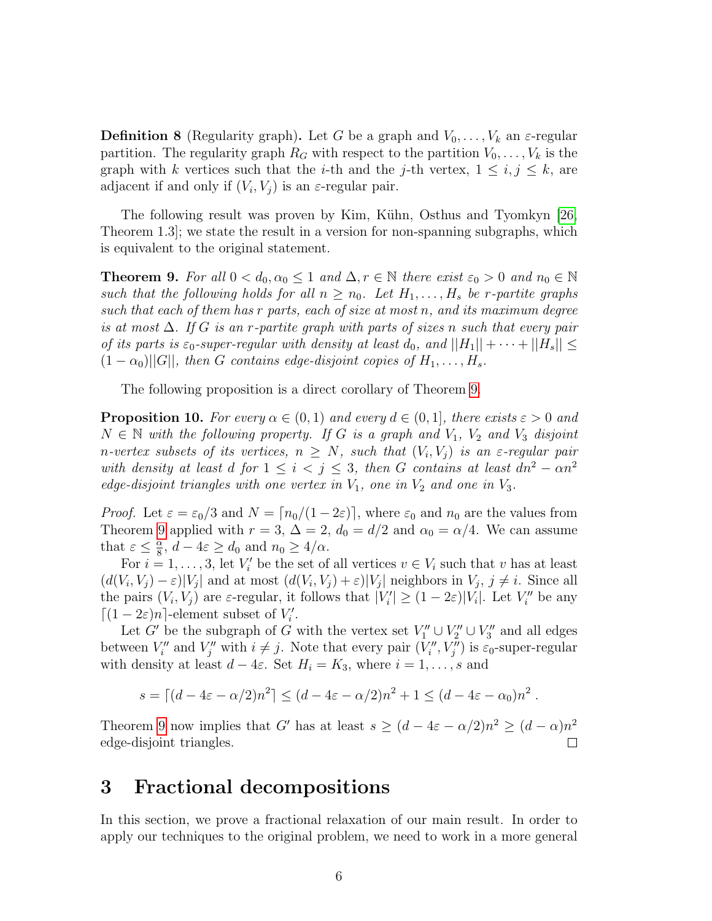**Definition 8** (Regularity graph). Let G be a graph and  $V_0, \ldots, V_k$  an  $\varepsilon$ -regular partition. The regularity graph  $R_G$  with respect to the partition  $V_0, \ldots, V_k$  is the graph with k vertices such that the *i*-th and the *j*-th vertex,  $1 \leq i, j \leq k$ , are adjacent if and only if  $(V_i, V_j)$  is an  $\varepsilon$ -regular pair.

The following result was proven by Kim, Kühn, Osthus and Tyomkyn [\[26,](#page-14-6) Theorem 1.3]; we state the result in a version for non-spanning subgraphs, which is equivalent to the original statement.

<span id="page-5-0"></span>**Theorem 9.** For all  $0 < d_0, \alpha_0 \leq 1$  and  $\Delta, r \in \mathbb{N}$  there exist  $\varepsilon_0 > 0$  and  $n_0 \in \mathbb{N}$ such that the following holds for all  $n \geq n_0$ . Let  $H_1, \ldots, H_s$  be r-partite graphs such that each of them has r parts, each of size at most n, and its maximum degree is at most  $\Delta$ . If G is an r-partite graph with parts of sizes n such that every pair of its parts is  $\varepsilon_0$ -super-regular with density at least  $d_0$ , and  $||H_1|| + \cdots + ||H_s|| \leq$  $(1 - \alpha_0)||G||$ , then G contains edge-disjoint copies of  $H_1, \ldots, H_s$ .

The following proposition is a direct corollary of Theorem [9.](#page-5-0)

<span id="page-5-1"></span>**Proposition 10.** For every  $\alpha \in (0,1)$  and every  $d \in (0,1]$ , there exists  $\varepsilon > 0$  and  $N \in \mathbb{N}$  with the following property. If G is a graph and  $V_1$ ,  $V_2$  and  $V_3$  disjoint n-vertex subsets of its vertices,  $n \geq N$ , such that  $(V_i, V_j)$  is an  $\varepsilon$ -regular pair with density at least d for  $1 \leq i < j \leq 3$ , then G contains at least  $dn^2 - \alpha n^2$ edge-disjoint triangles with one vertex in  $V_1$ , one in  $V_2$  and one in  $V_3$ .

*Proof.* Let  $\varepsilon = \varepsilon_0/3$  and  $N = \lceil n_0/(1 - 2\varepsilon) \rceil$ , where  $\varepsilon_0$  and  $n_0$  are the values from Theorem [9](#page-5-0) applied with  $r = 3$ ,  $\Delta = 2$ ,  $d_0 = d/2$  and  $\alpha_0 = \alpha/4$ . We can assume that  $\varepsilon \leq \frac{\alpha}{8}$  $\frac{\alpha}{8}$ ,  $d - 4\varepsilon \ge d_0$  and  $n_0 \ge 4/\alpha$ .

For  $i = 1, \ldots, 3$ , let  $V_i'$  be the set of all vertices  $v \in V_i$  such that v has at least  $(d(V_i, V_j) - \varepsilon)|V_j|$  and at most  $(d(V_i, V_j) + \varepsilon)|V_j|$  neighbors in  $V_j$ ,  $j \neq i$ . Since all the pairs  $(V_i, V_j)$  are  $\varepsilon$ -regular, it follows that  $|V_i'| \geq (1 - 2\varepsilon)|V_i|$ . Let  $V_i''$  be any  $\lceil (1 - 2\varepsilon)n \rceil$ -element subset of  $V'_i$ .

Let G' be the subgraph of G with the vertex set  $V''_1 \cup V''_2 \cup V''_3$  and all edges between  $V''_i$  and  $V''_j$  with  $i \neq j$ . Note that every pair  $(V''_i, V''_j)$  is  $\varepsilon_0$ -super-regular with density at least  $d - 4\varepsilon$ . Set  $H_i = K_3$ , where  $i = 1, \ldots, s$  and

$$
s = \lceil (d - 4\varepsilon - \alpha/2)n^2 \rceil \le (d - 4\varepsilon - \alpha/2)n^2 + 1 \le (d - 4\varepsilon - \alpha_0)n^2.
$$

Theorem [9](#page-5-0) now implies that G' has at least  $s \geq (d - 4\varepsilon - \alpha/2)n^2 \geq (d - \alpha)n^2$ edge-disjoint triangles.

#### 3 Fractional decompositions

In this section, we prove a fractional relaxation of our main result. In order to apply our techniques to the original problem, we need to work in a more general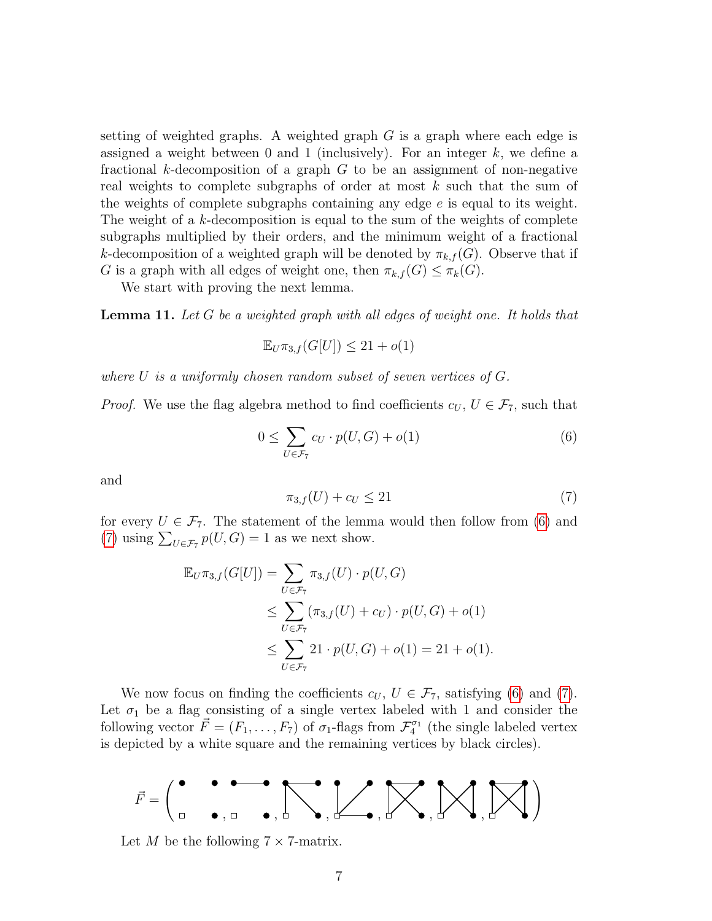setting of weighted graphs. A weighted graph  $G$  is a graph where each edge is assigned a weight between 0 and 1 (inclusively). For an integer  $k$ , we define a fractional k-decomposition of a graph  $G$  to be an assignment of non-negative real weights to complete subgraphs of order at most  $k$  such that the sum of the weights of complete subgraphs containing any edge e is equal to its weight. The weight of a k-decomposition is equal to the sum of the weights of complete subgraphs multiplied by their orders, and the minimum weight of a fractional k-decomposition of a weighted graph will be denoted by  $\pi_{k,f}(G)$ . Observe that if G is a graph with all edges of weight one, then  $\pi_{k,f}(G) \leq \pi_k(G)$ .

We start with proving the next lemma.

<span id="page-6-2"></span>Lemma 11. Let G be a weighted graph with all edges of weight one. It holds that

$$
\mathbb{E}_U \pi_{3,f}(G[U]) \le 21 + o(1)
$$

where U is a uniformly chosen random subset of seven vertices of  $G$ .

*Proof.* We use the flag algebra method to find coefficients  $c_U, U \in \mathcal{F}_7$ , such that

<span id="page-6-0"></span>
$$
0 \le \sum_{U \in \mathcal{F}_7} c_U \cdot p(U, G) + o(1) \tag{6}
$$

and

<span id="page-6-1"></span>
$$
\pi_{3,f}(U) + c_U \le 21\tag{7}
$$

for every  $U \in \mathcal{F}_7$ . The statement of the lemma would then follow from [\(6\)](#page-6-0) and [\(7\)](#page-6-1) using  $\sum_{U \in \mathcal{F}_7} p(U, G) = 1$  as we next show.

$$
\mathbb{E}_{U}\pi_{3,f}(G[U]) = \sum_{U \in \mathcal{F}_7} \pi_{3,f}(U) \cdot p(U, G)
$$
  
\n
$$
\leq \sum_{U \in \mathcal{F}_7} (\pi_{3,f}(U) + c_U) \cdot p(U, G) + o(1)
$$
  
\n
$$
\leq \sum_{U \in \mathcal{F}_7} 21 \cdot p(U, G) + o(1) = 21 + o(1).
$$

We now focus on finding the coefficients  $c_U, U \in \mathcal{F}_7$ , satisfying [\(6\)](#page-6-0) and [\(7\)](#page-6-1). Let  $\sigma_1$  be a flag consisting of a single vertex labeled with 1 and consider the following vector  $\vec{F} = (F_1, \ldots, F_7)$  of  $\sigma_1$ -flags from  $\mathcal{F}_4^{\sigma_1}$  (the single labeled vertex is depicted by a white square and the remaining vertices by black circles).



Let M be the following  $7 \times 7$ -matrix.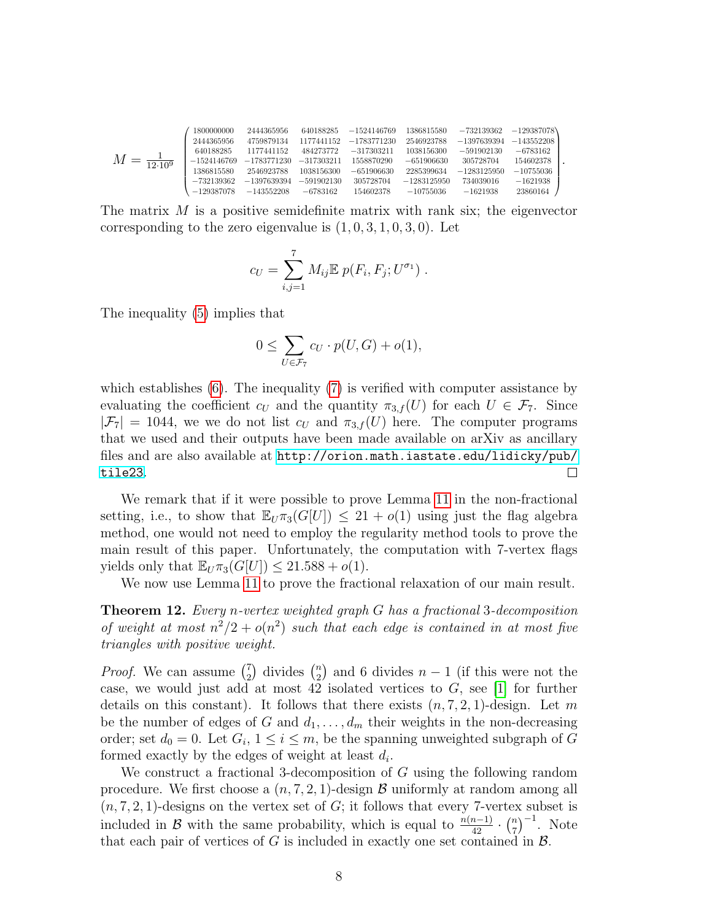$$
M=\underset{12\cdot 10^9}{\underbrace{1}} \begin{pmatrix} 1800000000 & 2444365956 & 640188285 & -1524146769 & 1386815580 & -732139362 & -129387078 \\ 2444365956 & 4759879134 & 1177441152 & -1783771230 & 2546923788 & -1397639394 & -143552208 \\ 640188285 & 1177441152 & 484273772 & -317303211 & 1038156300 & -591902130 & -6783162 \\ -1524146769 & -1783771230 & -317303211 & 1558870290 & -651906630 & 305728704 & 154602378 \\ 1386815580 & 2546923788 & 1038156300 & -651906630 & 2285399634 & -1283125950 & -10755036 \\ -732139362 & -1397639394 & -591902130 & 305728704 & -1283125950 & 734039016 & -1621938 \\ -129387078 & -143552208 & -6783162 & 154602378 & -10755036 & -1621938 & 23860164 \end{pmatrix}.
$$

The matrix  $M$  is a positive semidefinite matrix with rank six; the eigenvector corresponding to the zero eigenvalue is  $(1, 0, 3, 1, 0, 3, 0)$ . Let

$$
c_U = \sum_{i,j=1}^7 M_{ij} \mathbb{E} p(F_i, F_j; U^{\sigma_1}).
$$

The inequality [\(5\)](#page-3-3) implies that

$$
0 \le \sum_{U \in \mathcal{F}_7} c_U \cdot p(U, G) + o(1),
$$

which establishes [\(6\)](#page-6-0). The inequality [\(7\)](#page-6-1) is verified with computer assistance by evaluating the coefficient  $c_U$  and the quantity  $\pi_{3,f}(U)$  for each  $U \in \mathcal{F}_7$ . Since  $|\mathcal{F}_7| = 1044$ , we we do not list  $c_U$  and  $\pi_{3,f}(U)$  here. The computer programs that we used and their outputs have been made available on arXiv as ancillary files and are also available at [http://orion.math.iastate.edu/lidicky/pub/](http://orion.math.iastate.edu/lidicky/pub/tile23) [tile23](http://orion.math.iastate.edu/lidicky/pub/tile23).  $\Box$ 

We remark that if it were possible to prove Lemma [11](#page-6-2) in the non-fractional setting, i.e., to show that  $\mathbb{E}_{U} \pi_3(G[U]) \leq 21 + o(1)$  using just the flag algebra method, one would not need to employ the regularity method tools to prove the main result of this paper. Unfortunately, the computation with 7-vertex flags yields only that  $\mathbb{E}_U \pi_3(G[U]) \leq 21.588 + o(1)$ .

We now use Lemma [11](#page-6-2) to prove the fractional relaxation of our main result.

<span id="page-7-0"></span>Theorem 12. Every n-vertex weighted graph G has a fractional 3-decomposition of weight at most  $n^2/2 + o(n^2)$  such that each edge is contained in at most five triangles with positive weight.

*Proof.* We can assume  $\binom{7}{2}$  $\binom{7}{2}$  divides  $\binom{n}{2}$  $n \choose 2$  and 6 divides  $n-1$  (if this were not the case, we would just add at most 42 isolated vertices to  $G$ , see [\[1\]](#page-12-2) for further details on this constant). It follows that there exists  $(n, 7, 2, 1)$ -design. Let m be the number of edges of G and  $d_1, \ldots, d_m$  their weights in the non-decreasing order; set  $d_0 = 0$ . Let  $G_i$ ,  $1 \leq i \leq m$ , be the spanning unweighted subgraph of G formed exactly by the edges of weight at least  $d_i$ .

We construct a fractional 3-decomposition of G using the following random procedure. We first choose a  $(n, 7, 2, 1)$ -design B uniformly at random among all  $(n, 7, 2, 1)$ -designs on the vertex set of  $G$ ; it follows that every 7-vertex subset is included in B with the same probability, which is equal to  $\frac{n(n-1)}{42} \cdot \binom{n}{7}$  $\binom{n}{7}^{-1}$ . Note that each pair of vertices of  $G$  is included in exactly one set contained in  $\mathcal{B}$ .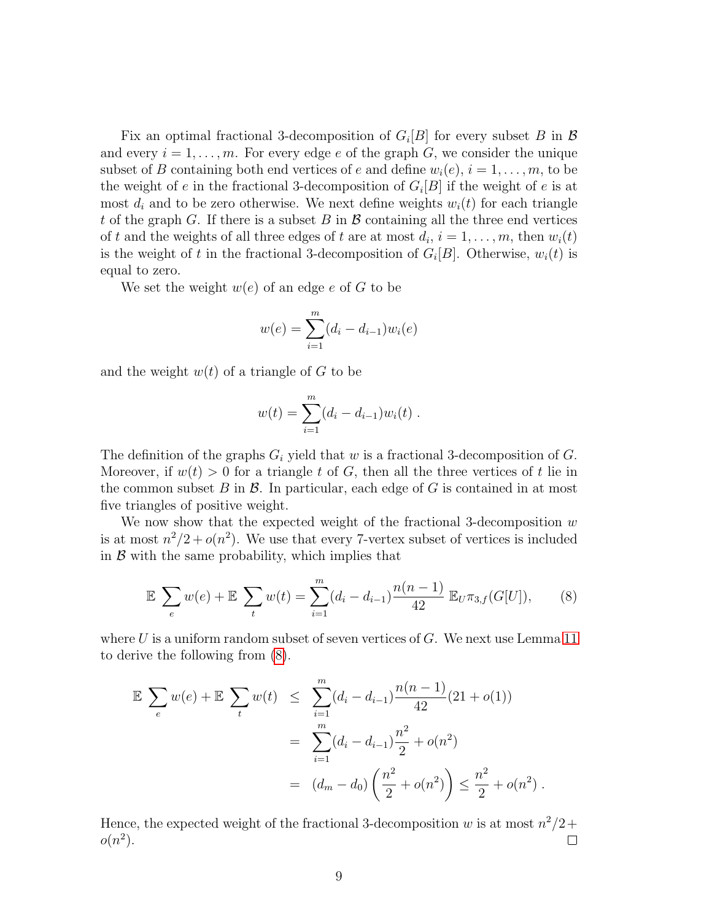Fix an optimal fractional 3-decomposition of  $G_i[B]$  for every subset B in B and every  $i = 1, \ldots, m$ . For every edge e of the graph G, we consider the unique subset of B containing both end vertices of e and define  $w_i(e), i = 1, \ldots, m$ , to be the weight of e in the fractional 3-decomposition of  $G_i[B]$  if the weight of e is at most  $d_i$  and to be zero otherwise. We next define weights  $w_i(t)$  for each triangle t of the graph G. If there is a subset B in  $\mathcal B$  containing all the three end vertices of t and the weights of all three edges of t are at most  $d_i$ ,  $i = 1, \ldots, m$ , then  $w_i(t)$ is the weight of t in the fractional 3-decomposition of  $G_i[B]$ . Otherwise,  $w_i(t)$  is equal to zero.

We set the weight  $w(e)$  of an edge e of G to be

$$
w(e) = \sum_{i=1}^{m} (d_i - d_{i-1}) w_i(e)
$$

and the weight  $w(t)$  of a triangle of G to be

$$
w(t) = \sum_{i=1}^{m} (d_i - d_{i-1}) w_i(t) .
$$

The definition of the graphs  $G_i$  yield that w is a fractional 3-decomposition of G. Moreover, if  $w(t) > 0$  for a triangle t of G, then all the three vertices of t lie in the common subset  $B$  in  $\mathcal{B}$ . In particular, each edge of  $G$  is contained in at most five triangles of positive weight.

We now show that the expected weight of the fractional 3-decomposition  $w$ is at most  $n^2/2 + o(n^2)$ . We use that every 7-vertex subset of vertices is included in  $\beta$  with the same probability, which implies that

<span id="page-8-0"></span>
$$
\mathbb{E} \sum_{e} w(e) + \mathbb{E} \sum_{t} w(t) = \sum_{i=1}^{m} (d_i - d_{i-1}) \frac{n(n-1)}{42} \mathbb{E}_U \pi_{3,f}(G[U]), \tag{8}
$$

where U is a uniform random subset of seven vertices of  $G$ . We next use Lemma [11](#page-6-2) to derive the following from [\(8\)](#page-8-0).

$$
\mathbb{E} \sum_{e} w(e) + \mathbb{E} \sum_{t} w(t) \leq \sum_{i=1}^{m} (d_i - d_{i-1}) \frac{n(n-1)}{42} (21 + o(1))
$$
  
= 
$$
\sum_{i=1}^{m} (d_i - d_{i-1}) \frac{n^2}{2} + o(n^2)
$$
  
= 
$$
(d_m - d_0) \left( \frac{n^2}{2} + o(n^2) \right) \leq \frac{n^2}{2} + o(n^2).
$$

Hence, the expected weight of the fractional 3-decomposition w is at most  $n^2/2$ +  $o(n^2)$ .  $\Box$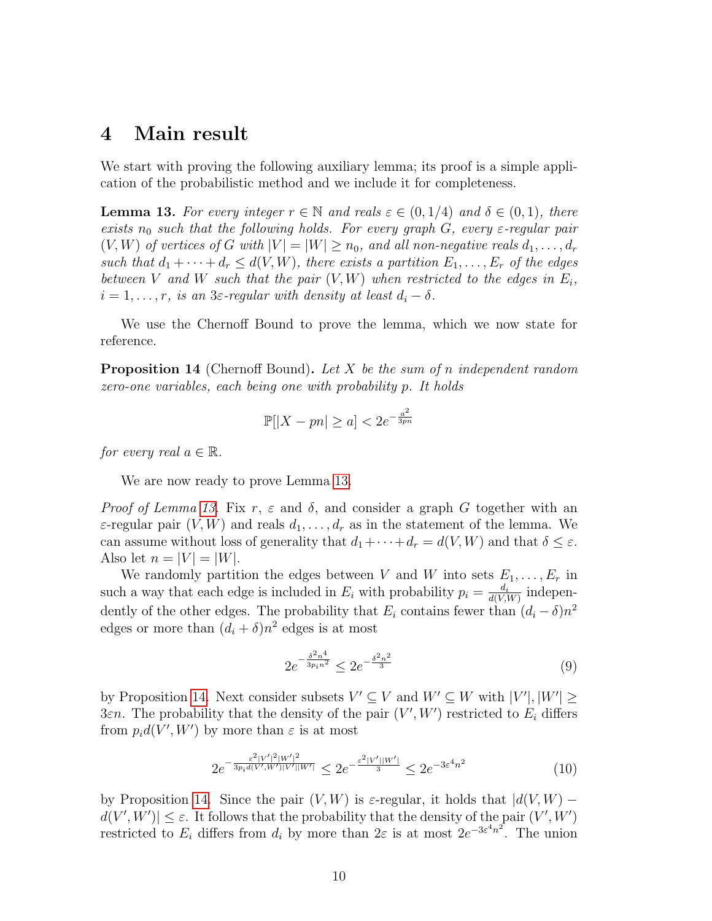#### 4 Main result

We start with proving the following auxiliary lemma; its proof is a simple application of the probabilistic method and we include it for completeness.

<span id="page-9-0"></span>**Lemma 13.** For every integer  $r \in \mathbb{N}$  and reals  $\varepsilon \in (0,1/4)$  and  $\delta \in (0,1)$ , there exists  $n_0$  such that the following holds. For every graph G, every  $\varepsilon$ -regular pair  $(V, W)$  of vertices of G with  $|V| = |W| \ge n_0$ , and all non-negative reals  $d_1, \ldots, d_r$ such that  $d_1 + \cdots + d_r \leq d(V, W)$ , there exists a partition  $E_1, \ldots, E_r$  of the edges between V and W such that the pair  $(V, W)$  when restricted to the edges in  $E_i$ ,  $i = 1, \ldots, r$ , is an 3 $\varepsilon$ -regular with density at least  $d_i - \delta$ .

We use the Chernoff Bound to prove the lemma, which we now state for reference.

<span id="page-9-1"></span>**Proposition 14** (Chernoff Bound). Let X be the sum of n independent random zero-one variables, each being one with probability p. It holds

$$
\mathbb{P}[|X - pn| \ge a] < 2e^{-\frac{a^2}{3pn}}
$$

for every real  $a \in \mathbb{R}$ .

We are now ready to prove Lemma [13.](#page-9-0)

Proof of Lemma [13.](#page-9-0) Fix r,  $\varepsilon$  and  $\delta$ , and consider a graph G together with an  $\varepsilon$ -regular pair  $(V, W)$  and reals  $d_1, \ldots, d_r$  as in the statement of the lemma. We can assume without loss of generality that  $d_1+\cdots+d_r = d(V, W)$  and that  $\delta \leq \varepsilon$ . Also let  $n = |V| = |W|$ .

We randomly partition the edges between V and W into sets  $E_1, \ldots, E_r$  in such a way that each edge is included in  $E_i$  with probability  $p_i = \frac{d_i}{d(V)}$  $\frac{d_i}{d(V,W)}$  independently of the other edges. The probability that  $E_i$  contains fewer than  $(d_i - \delta)n^2$ edges or more than  $(d_i + \delta)n^2$  edges is at most

<span id="page-9-3"></span>
$$
2e^{-\frac{\delta^2 n^4}{3p_i n^2}} \le 2e^{-\frac{\delta^2 n^2}{3}} \tag{9}
$$

by Proposition [14.](#page-9-1) Next consider subsets  $V' \subseteq V$  and  $W' \subseteq W$  with  $|V'|, |W'| \ge$ 3εn. The probability that the density of the pair  $(V', W')$  restricted to  $E_i$  differs from  $p_i d(V', W')$  by more than  $\varepsilon$  is at most

<span id="page-9-2"></span>
$$
2e^{-\frac{\varepsilon^2|V'|^2|W'|^2}{3p_id(V',W')|V'||W'|}} \le 2e^{-\frac{\varepsilon^2|V'||W'|}{3}} \le 2e^{-3\varepsilon^4 n^2}
$$
 (10)

by Proposition [14.](#page-9-1) Since the pair  $(V, W)$  is  $\varepsilon$ -regular, it holds that  $|d(V, W)$  $d(V', W') \leq \varepsilon$ . It follows that the probability that the density of the pair  $(V', W')$ restricted to  $E_i$  differs from  $d_i$  by more than  $2\varepsilon$  is at most  $2e^{-3\varepsilon^4 n^2}$ . The union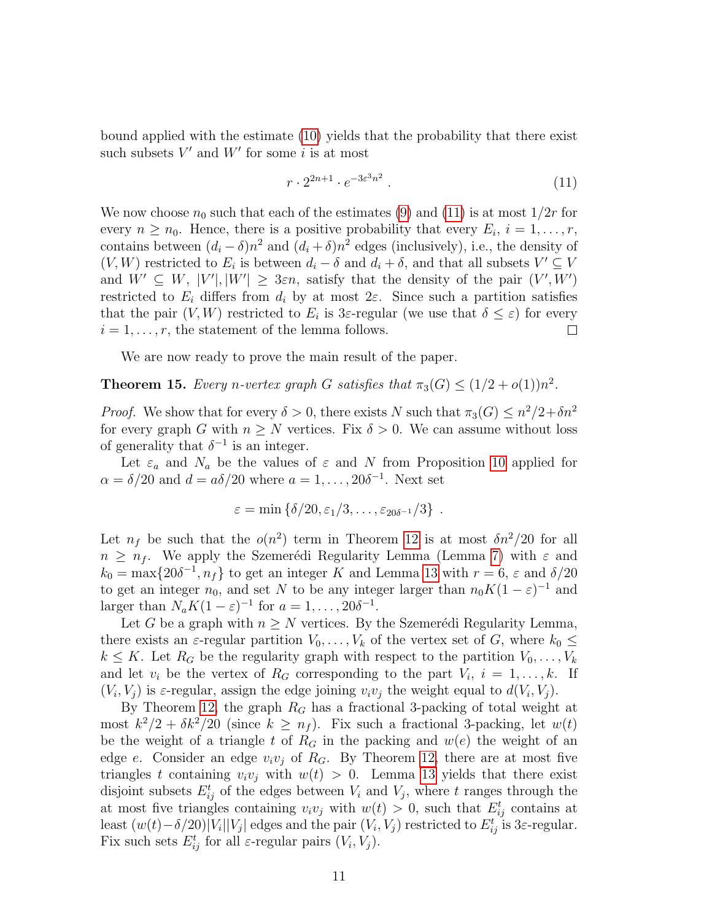bound applied with the estimate [\(10\)](#page-9-2) yields that the probability that there exist such subsets  $V'$  and  $W'$  for some i is at most

<span id="page-10-1"></span>
$$
r \cdot 2^{2n+1} \cdot e^{-3\varepsilon^3 n^2} \tag{11}
$$

We now choose  $n_0$  such that each of the estimates [\(9\)](#page-9-3) and [\(11\)](#page-10-1) is at most  $1/2r$  for every  $n \geq n_0$ . Hence, there is a positive probability that every  $E_i$ ,  $i = 1, \ldots, r$ , contains between  $(d_i - \delta)n^2$  and  $(d_i + \delta)n^2$  edges (inclusively), i.e., the density of  $(V, W)$  restricted to  $E_i$  is between  $d_i - \delta$  and  $d_i + \delta$ , and that all subsets  $V' \subseteq V$ and  $W' \subseteq W$ ,  $|V'|$ ,  $|W'| \geq 3\varepsilon n$ , satisfy that the density of the pair  $(V', W')$ restricted to  $E_i$  differs from  $d_i$  by at most  $2\varepsilon$ . Since such a partition satisfies that the pair  $(V, W)$  restricted to  $E_i$  is 3 $\varepsilon$ -regular (we use that  $\delta \leq \varepsilon$ ) for every  $i = 1, \ldots, r$ , the statement of the lemma follows.  $\Box$ 

We are now ready to prove the main result of the paper.

<span id="page-10-0"></span>**Theorem 15.** Every n-vertex graph G satisfies that  $\pi_3(G) \leq (1/2 + o(1))n^2$ .

*Proof.* We show that for every  $\delta > 0$ , there exists N such that  $\pi_3(G) \leq n^2/2 + \delta n^2$ for every graph G with  $n \geq N$  vertices. Fix  $\delta > 0$ . We can assume without loss of generality that  $\delta^{-1}$  is an integer.

Let  $\varepsilon_a$  and  $N_a$  be the values of  $\varepsilon$  and N from Proposition [10](#page-5-1) applied for  $\alpha = \delta/20$  and  $d = a\delta/20$  where  $a = 1, \ldots, 20\delta^{-1}$ . Next set

$$
\varepsilon = \min \left\{ \delta/20, \varepsilon_1/3, \ldots, \varepsilon_{20\delta^{-1}}/3 \right\} .
$$

Let  $n_f$  be such that the  $o(n^2)$  term in Theorem [12](#page-7-0) is at most  $\delta n^2/20$  for all  $n \geq n_f$ . We apply the Szemerédi Regularity Lemma (Lemma [7\)](#page-4-0) with  $\varepsilon$  and  $k_0 = \max\{20\delta^{-1}, n_f\}$  to get an integer K and Lemma [13](#page-9-0) with  $r = 6$ ,  $\varepsilon$  and  $\delta/20$ to get an integer  $n_0$ , and set N to be any integer larger than  $n_0K(1-\varepsilon)^{-1}$  and larger than  $N_a K(1-\varepsilon)^{-1}$  for  $a=1,\ldots,20\delta^{-1}$ .

Let G be a graph with  $n \geq N$  vertices. By the Szemerédi Regularity Lemma, there exists an  $\varepsilon$ -regular partition  $V_0, \ldots, V_k$  of the vertex set of G, where  $k_0 \leq$  $k \leq K$ . Let  $R_G$  be the regularity graph with respect to the partition  $V_0, \ldots, V_k$ and let  $v_i$  be the vertex of  $R_G$  corresponding to the part  $V_i$ ,  $i = 1, \ldots, k$ . If  $(V_i, V_j)$  is  $\varepsilon$ -regular, assign the edge joining  $v_i v_j$  the weight equal to  $d(V_i, V_j)$ .

By Theorem [12,](#page-7-0) the graph  $R_G$  has a fractional 3-packing of total weight at most  $k^2/2 + \delta k^2/20$  (since  $k \geq n_f$ ). Fix such a fractional 3-packing, let  $w(t)$ be the weight of a triangle t of  $R_G$  in the packing and  $w(e)$  the weight of an edge e. Consider an edge  $v_i v_j$  of  $R_G$ . By Theorem [12,](#page-7-0) there are at most five triangles t containing  $v_i v_j$  with  $w(t) > 0$ . Lemma [13](#page-9-0) yields that there exist disjoint subsets  $E_{ij}^t$  of the edges between  $V_i$  and  $V_j$ , where t ranges through the at most five triangles containing  $v_i v_j$  with  $w(t) > 0$ , such that  $E_{ij}^t$  contains at least  $(w(t) - \delta/20)|V_i||V_j|$  edges and the pair  $(V_i, V_j)$  restricted to  $E_{ij}^t$  is 3 $\varepsilon$ -regular. Fix such sets  $E_{ij}^t$  for all  $\varepsilon$ -regular pairs  $(V_i, V_j)$ .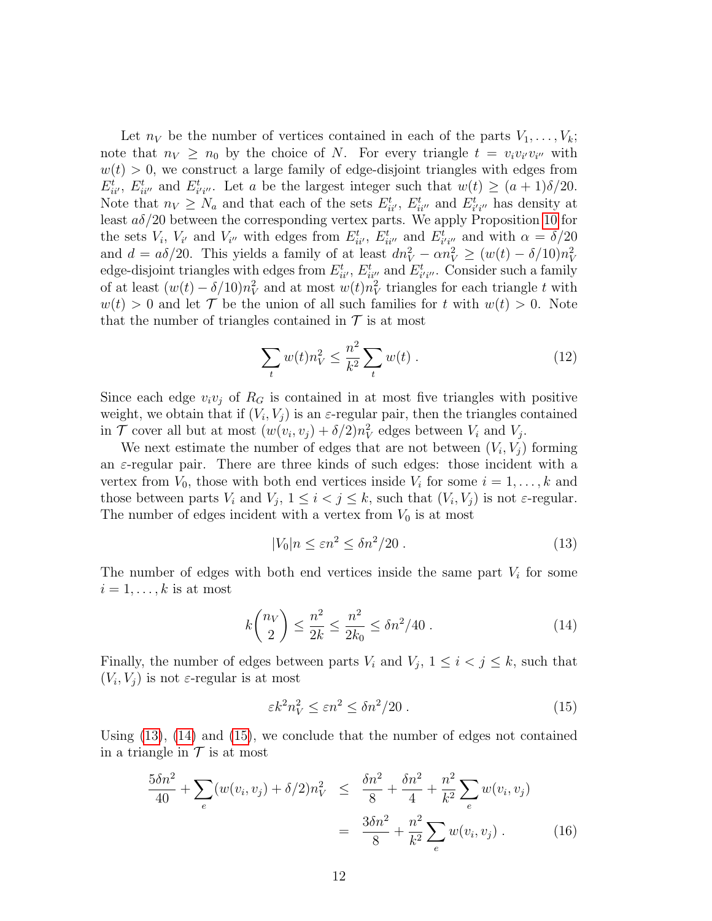Let  $n_V$  be the number of vertices contained in each of the parts  $V_1, \ldots, V_k$ ; note that  $n_V \geq n_0$  by the choice of N. For every triangle  $t = v_i v_{i'} v_{i''}$  with  $w(t) > 0$ , we construct a large family of edge-disjoint triangles with edges from  $E_{ii'}^t$ ,  $E_{ii''}^t$  and  $E_{i'i''}^t$ . Let a be the largest integer such that  $w(t) \geq (a+1)\delta/20$ . Note that  $n_V \geq N_a$  and that each of the sets  $E_{ii'}^t$ ,  $E_{ii''}^t$  and  $E_{i'i''}^t$  has density at least  $a\delta/20$  between the corresponding vertex parts. We apply Proposition [10](#page-5-1) for the sets  $V_i$ ,  $V_{i'}$  and  $V_{i''}$  with edges from  $E_{ii'}^t$ ,  $E_{ii''}^t$  and  $E_{i'i''}^t$  and with  $\alpha = \delta/20$ and  $d = a\delta/20$ . This yields a family of at least  $dn_V^2 - \alpha n_V^2 \ge (w(t) - \delta/10)n_V^2$ edge-disjoint triangles with edges from  $E_{ii'}^t$ ,  $E_{ii''}^t$  and  $E_{i'i''}^t$ . Consider such a family of at least  $(w(t) - \delta/10)n_V^2$  and at most  $w(t)n_V^2$  triangles for each triangle t with  $w(t) > 0$  and let T be the union of all such families for t with  $w(t) > 0$ . Note that the number of triangles contained in  $\mathcal T$  is at most

<span id="page-11-3"></span>
$$
\sum_{t} w(t)n_V^2 \le \frac{n^2}{k^2} \sum_{t} w(t) \,. \tag{12}
$$

Since each edge  $v_i v_j$  of  $R_G$  is contained in at most five triangles with positive weight, we obtain that if  $(V_i, V_j)$  is an  $\varepsilon$ -regular pair, then the triangles contained in  $\mathcal T$  cover all but at most  $(w(v_i, v_j) + \delta/2)n_V^2$  edges between  $V_i$  and  $V_j$ .

We next estimate the number of edges that are not between  $(V_i, V_j)$  forming an  $\varepsilon$ -regular pair. There are three kinds of such edges: those incident with a vertex from  $V_0$ , those with both end vertices inside  $V_i$  for some  $i = 1, \ldots, k$  and those between parts  $V_i$  and  $V_j$ ,  $1 \leq i < j \leq k$ , such that  $(V_i, V_j)$  is not  $\varepsilon$ -regular. The number of edges incident with a vertex from  $V_0$  is at most

<span id="page-11-0"></span>
$$
|V_0|n \le \varepsilon n^2 \le \delta n^2/20 \,. \tag{13}
$$

The number of edges with both end vertices inside the same part  $V_i$  for some  $i = 1, \ldots, k$  is at most

<span id="page-11-1"></span>
$$
k \binom{n_V}{2} \le \frac{n^2}{2k} \le \frac{n^2}{2k_0} \le \delta n^2 / 40 \,. \tag{14}
$$

Finally, the number of edges between parts  $V_i$  and  $V_j$ ,  $1 \leq i < j \leq k$ , such that  $(V_i, V_j)$  is not  $\varepsilon$ -regular is at most

<span id="page-11-2"></span>
$$
\varepsilon k^2 n_V^2 \le \varepsilon n^2 \le \delta n^2 / 20 \,. \tag{15}
$$

Using [\(13\)](#page-11-0), [\(14\)](#page-11-1) and [\(15\)](#page-11-2), we conclude that the number of edges not contained in a triangle in  $\mathcal T$  is at most

<span id="page-11-4"></span>
$$
\frac{5\delta n^2}{40} + \sum_{e} (w(v_i, v_j) + \delta/2) n_V^2 \le \frac{\delta n^2}{8} + \frac{\delta n^2}{4} + \frac{n^2}{k^2} \sum_{e} w(v_i, v_j)
$$

$$
= \frac{3\delta n^2}{8} + \frac{n^2}{k^2} \sum_{e} w(v_i, v_j) . \tag{16}
$$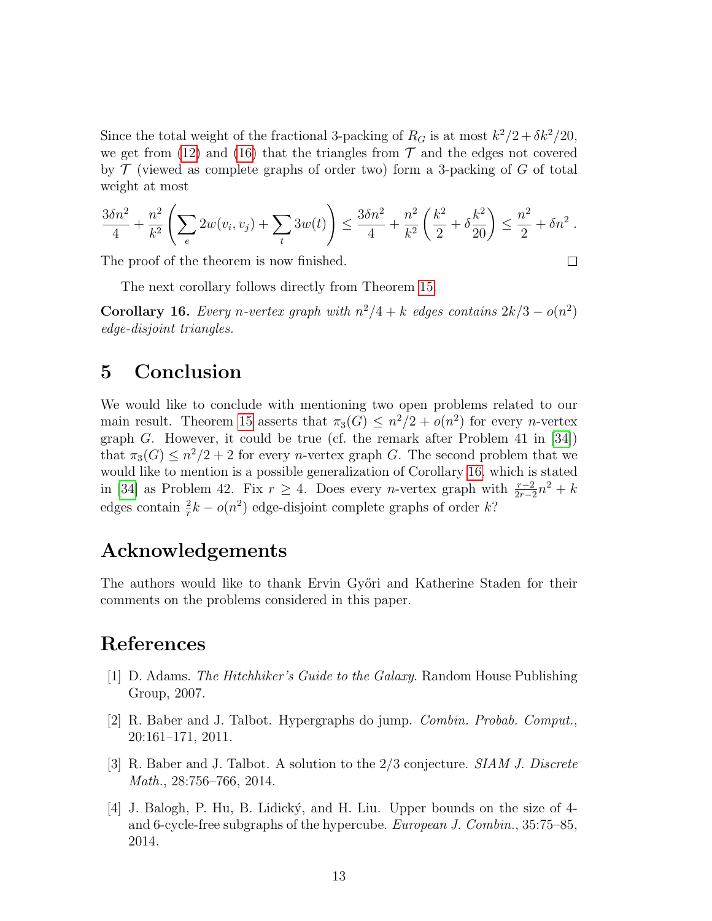Since the total weight of the fractional 3-packing of  $R_G$  is at most  $k^2/2 + \delta k^2/20$ , we get from [\(12\)](#page-11-3) and [\(16\)](#page-11-4) that the triangles from  $\mathcal T$  and the edges not covered by  $\mathcal T$  (viewed as complete graphs of order two) form a 3-packing of  $G$  of total weight at most

$$
\frac{3\delta n^2}{4} + \frac{n^2}{k^2} \left( \sum_e 2w(v_i, v_j) + \sum_t 3w(t) \right) \le \frac{3\delta n^2}{4} + \frac{n^2}{k^2} \left( \frac{k^2}{2} + \delta \frac{k^2}{20} \right) \le \frac{n^2}{2} + \delta n^2.
$$

The proof of the theorem is now finished.

 $\Box$ 

The next corollary follows directly from Theorem [15.](#page-10-0)

<span id="page-12-0"></span>**Corollary 16.** Every n-vertex graph with  $n^2/4 + k$  edges contains  $2k/3 - o(n^2)$ edge-disjoint triangles.

### 5 Conclusion

We would like to conclude with mentioning two open problems related to our main result. Theorem [15](#page-10-0) asserts that  $\pi_3(G) \leq n^2/2 + o(n^2)$  for every *n*-vertex graph G. However, it could be true (cf. the remark after Problem 41 in  $[34]$ ) that  $\pi_3(G) \leq n^2/2 + 2$  for every *n*-vertex graph G. The second problem that we would like to mention is a possible generalization of Corollary [16,](#page-12-0) which is stated in [\[34\]](#page-15-0) as Problem 42. Fix  $r \geq 4$ . Does every *n*-vertex graph with  $\frac{r-2}{2r-2}n^2 + k$ edges contain  $\frac{2}{r}k - o(n^2)$  edge-disjoint complete graphs of order k?

## Acknowledgements

The authors would like to thank Ervin Győri and Katherine Staden for their comments on the problems considered in this paper.

## References

- <span id="page-12-2"></span>[1] D. Adams. The Hitchhiker's Guide to the Galaxy. Random House Publishing Group, 2007.
- <span id="page-12-1"></span>[2] R. Baber and J. Talbot. Hypergraphs do jump. Combin. Probab. Comput., 20:161–171, 2011.
- [3] R. Baber and J. Talbot. A solution to the 2/3 conjecture. SIAM J. Discrete Math., 28:756–766, 2014.
- [4] J. Balogh, P. Hu, B. Lidick´y, and H. Liu. Upper bounds on the size of 4 and 6-cycle-free subgraphs of the hypercube. European J. Combin., 35:75–85, 2014.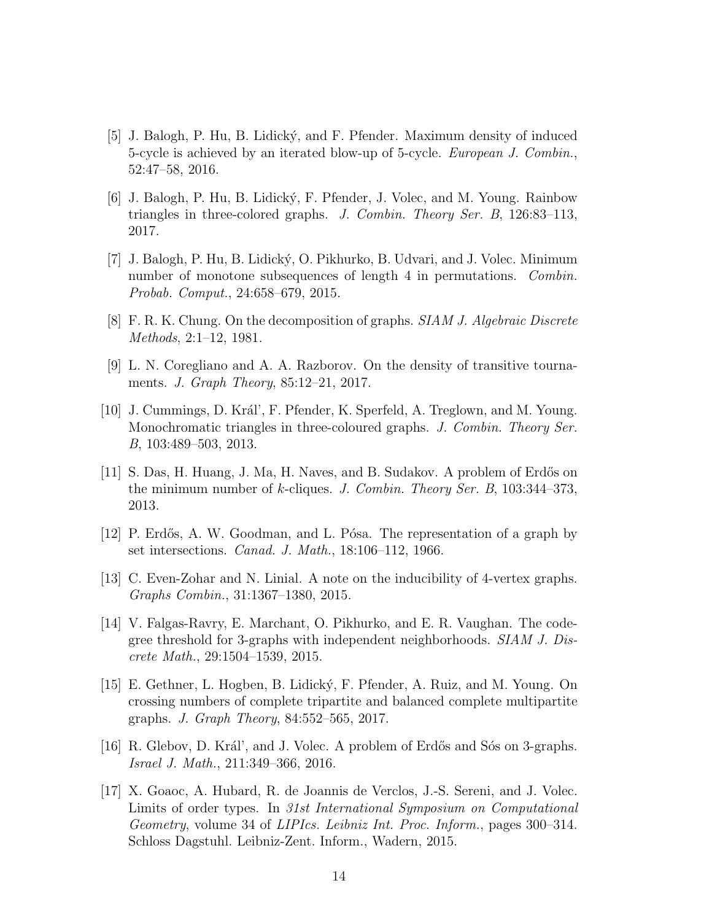- [5] J. Balogh, P. Hu, B. Lidick´y, and F. Pfender. Maximum density of induced 5-cycle is achieved by an iterated blow-up of 5-cycle. European J. Combin., 52:47–58, 2016.
- [6] J. Balogh, P. Hu, B. Lidick´y, F. Pfender, J. Volec, and M. Young. Rainbow triangles in three-colored graphs. J. Combin. Theory Ser. B, 126:83–113, 2017.
- <span id="page-13-2"></span>[7] J. Balogh, P. Hu, B. Lidick´y, O. Pikhurko, B. Udvari, and J. Volec. Minimum number of monotone subsequences of length 4 in permutations. Combin. Probab. Comput., 24:658–679, 2015.
- <span id="page-13-1"></span>[8] F. R. K. Chung. On the decomposition of graphs. SIAM J. Algebraic Discrete Methods, 2:1–12, 1981.
- <span id="page-13-3"></span>[9] L. N. Coregliano and A. A. Razborov. On the density of transitive tournaments. J. Graph Theory, 85:12–21, 2017.
- [10] J. Cummings, D. Kr´al', F. Pfender, K. Sperfeld, A. Treglown, and M. Young. Monochromatic triangles in three-coloured graphs. J. Combin. Theory Ser. B, 103:489–503, 2013.
- <span id="page-13-4"></span>[11] S. Das, H. Huang, J. Ma, H. Naves, and B. Sudakov. A problem of Erd˝os on the minimum number of k-cliques. J. Combin. Theory Ser. B,  $103:344-373$ , 2013.
- <span id="page-13-0"></span>[12] P. Erdős, A. W. Goodman, and L. Pósa. The representation of a graph by set intersections. Canad. J. Math., 18:106–112, 1966.
- <span id="page-13-5"></span>[13] C. Even-Zohar and N. Linial. A note on the inducibility of 4-vertex graphs. Graphs Combin., 31:1367–1380, 2015.
- [14] V. Falgas-Ravry, E. Marchant, O. Pikhurko, and E. R. Vaughan. The codegree threshold for 3-graphs with independent neighborhoods. SIAM J. Discrete Math., 29:1504–1539, 2015.
- [15] E. Gethner, L. Hogben, B. Lidick´y, F. Pfender, A. Ruiz, and M. Young. On crossing numbers of complete tripartite and balanced complete multipartite graphs. J. Graph Theory, 84:552–565, 2017.
- [16] R. Glebov, D. Král', and J. Volec. A problem of Erdős and Sós on 3-graphs. Israel J. Math., 211:349–366, 2016.
- <span id="page-13-6"></span>[17] X. Goaoc, A. Hubard, R. de Joannis de Verclos, J.-S. Sereni, and J. Volec. Limits of order types. In 31st International Symposium on Computational Geometry, volume 34 of LIPIcs. Leibniz Int. Proc. Inform., pages 300–314. Schloss Dagstuhl. Leibniz-Zent. Inform., Wadern, 2015.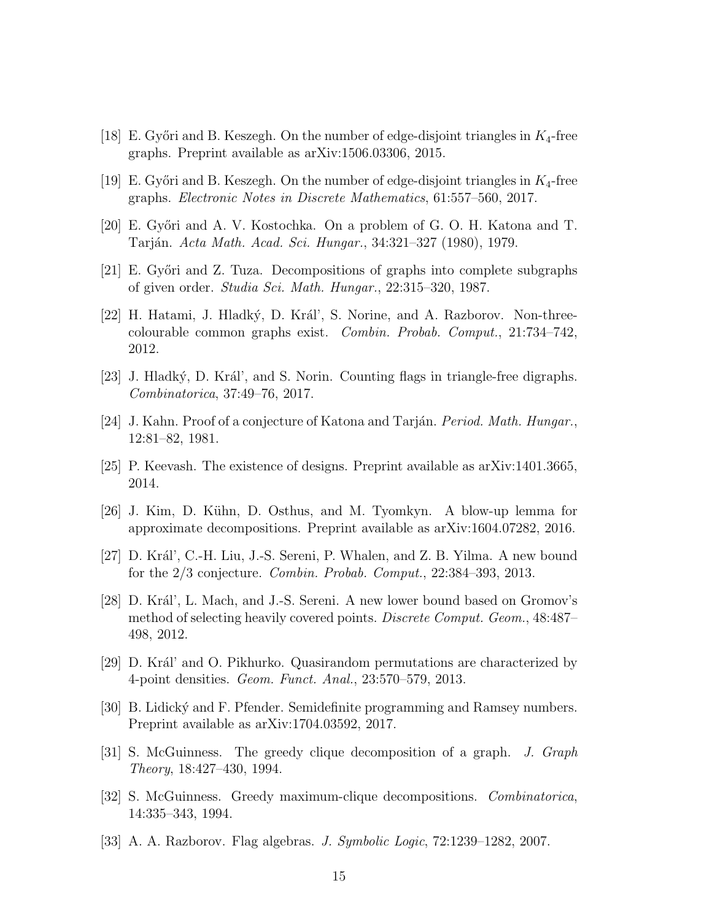- <span id="page-14-7"></span>[18] E. Győri and B. Keszegh. On the number of edge-disjoint triangles in  $K_4$ -free graphs. Preprint available as arXiv:1506.03306, 2015.
- <span id="page-14-8"></span>[19] E. Győri and B. Keszegh. On the number of edge-disjoint triangles in  $K_4$ -free graphs. Electronic Notes in Discrete Mathematics, 61:557–560, 2017.
- <span id="page-14-0"></span>[20] E. Győri and A. V. Kostochka. On a problem of G. O. H. Katona and T. Tarján. *Acta Math. Acad. Sci. Hungar.*, 34:321–327 (1980), 1979.
- <span id="page-14-4"></span>[21] E. Győri and Z. Tuza. Decompositions of graphs into complete subgraphs of given order. Studia Sci. Math. Hungar., 22:315–320, 1987.
- <span id="page-14-10"></span>[22] H. Hatami, J. Hladký, D. Král', S. Norine, and A. Razborov. Non-threecolourable common graphs exist. Combin. Probab. Comput., 21:734–742, 2012.
- <span id="page-14-11"></span>[23] J. Hladký, D. Král', and S. Norin. Counting flags in triangle-free digraphs. Combinatorica, 37:49–76, 2017.
- <span id="page-14-1"></span>[24] J. Kahn. Proof of a conjecture of Katona and Tarján. *Period. Math. Hungar.*, 12:81–82, 1981.
- <span id="page-14-9"></span>[25] P. Keevash. The existence of designs. Preprint available as arXiv:1401.3665, 2014.
- <span id="page-14-6"></span>[26] J. Kim, D. K¨uhn, D. Osthus, and M. Tyomkyn. A blow-up lemma for approximate decompositions. Preprint available as arXiv:1604.07282, 2016.
- <span id="page-14-12"></span>[27] D. Král', C.-H. Liu, J.-S. Sereni, P. Whalen, and Z. B. Yilma. A new bound for the 2/3 conjecture. Combin. Probab. Comput., 22:384–393, 2013.
- [28] D. Král', L. Mach, and J.-S. Sereni. A new lower bound based on Gromov's method of selecting heavily covered points. *Discrete Comput. Geom.*, 48:487– 498, 2012.
- $[29]$  D. Král' and O. Pikhurko. Quasirandom permutations are characterized by 4-point densities. Geom. Funct. Anal., 23:570–579, 2013.
- <span id="page-14-13"></span>[30] B. Lidický and F. Pfender. Semidefinite programming and Ramsey numbers. Preprint available as arXiv:1704.03592, 2017.
- <span id="page-14-2"></span>[31] S. McGuinness. The greedy clique decomposition of a graph. J. Graph Theory, 18:427–430, 1994.
- <span id="page-14-3"></span>[32] S. McGuinness. Greedy maximum-clique decompositions. Combinatorica, 14:335–343, 1994.
- <span id="page-14-5"></span>[33] A. A. Razborov. Flag algebras. J. Symbolic Logic, 72:1239–1282, 2007.